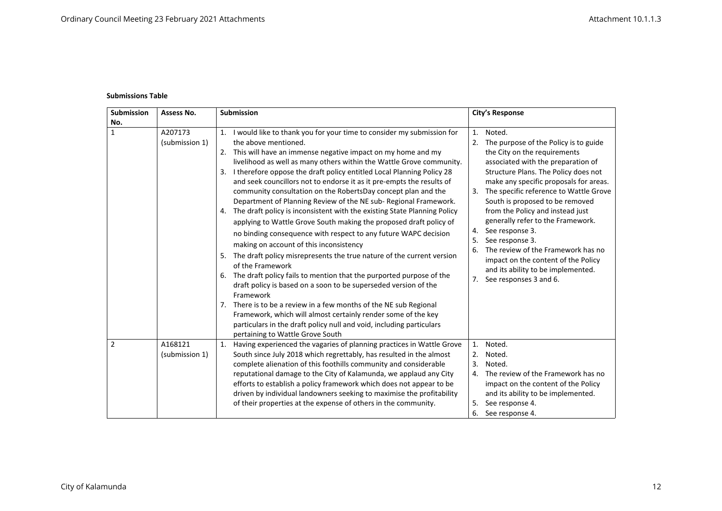## **Submissions Table**

| <b>Submission</b> | Assess No.                | <b>Submission</b>                                                                                                                                                                                                                                                                                                                                                                                                                                                                                                                                                                                                                                                                                                                                                                                                                                                                                                                                                                                                                                                                                                                                                                                                                                                                                                                        | <b>City's Response</b>                                                                                                                                                                                                                                                                                                                                                                                                                                                                                                                                                                  |
|-------------------|---------------------------|------------------------------------------------------------------------------------------------------------------------------------------------------------------------------------------------------------------------------------------------------------------------------------------------------------------------------------------------------------------------------------------------------------------------------------------------------------------------------------------------------------------------------------------------------------------------------------------------------------------------------------------------------------------------------------------------------------------------------------------------------------------------------------------------------------------------------------------------------------------------------------------------------------------------------------------------------------------------------------------------------------------------------------------------------------------------------------------------------------------------------------------------------------------------------------------------------------------------------------------------------------------------------------------------------------------------------------------|-----------------------------------------------------------------------------------------------------------------------------------------------------------------------------------------------------------------------------------------------------------------------------------------------------------------------------------------------------------------------------------------------------------------------------------------------------------------------------------------------------------------------------------------------------------------------------------------|
| No.               |                           |                                                                                                                                                                                                                                                                                                                                                                                                                                                                                                                                                                                                                                                                                                                                                                                                                                                                                                                                                                                                                                                                                                                                                                                                                                                                                                                                          |                                                                                                                                                                                                                                                                                                                                                                                                                                                                                                                                                                                         |
| $\mathbf{1}$      | A207173<br>(submission 1) | I would like to thank you for your time to consider my submission for<br>1.<br>the above mentioned.<br>This will have an immense negative impact on my home and my<br>2.<br>livelihood as well as many others within the Wattle Grove community.<br>I therefore oppose the draft policy entitled Local Planning Policy 28<br>3.<br>and seek councillors not to endorse it as it pre-empts the results of<br>community consultation on the RobertsDay concept plan and the<br>Department of Planning Review of the NE sub- Regional Framework.<br>The draft policy is inconsistent with the existing State Planning Policy<br>4.<br>applying to Wattle Grove South making the proposed draft policy of<br>no binding consequence with respect to any future WAPC decision<br>making on account of this inconsistency<br>The draft policy misrepresents the true nature of the current version<br>5.<br>of the Framework<br>The draft policy fails to mention that the purported purpose of the<br>6.<br>draft policy is based on a soon to be superseded version of the<br>Framework<br>There is to be a review in a few months of the NE sub Regional<br>7.<br>Framework, which will almost certainly render some of the key<br>particulars in the draft policy null and void, including particulars<br>pertaining to Wattle Grove South | Noted.<br>1.<br>The purpose of the Policy is to guide<br>2.<br>the City on the requirements<br>associated with the preparation of<br>Structure Plans. The Policy does not<br>make any specific proposals for areas.<br>The specific reference to Wattle Grove<br>3.<br>South is proposed to be removed<br>from the Policy and instead just<br>generally refer to the Framework.<br>See response 3.<br>4.<br>See response 3.<br>5.<br>The review of the Framework has no<br>6.<br>impact on the content of the Policy<br>and its ability to be implemented.<br>7. See responses 3 and 6. |
| $\overline{2}$    | A168121<br>(submission 1) | Having experienced the vagaries of planning practices in Wattle Grove<br>1.<br>South since July 2018 which regrettably, has resulted in the almost<br>complete alienation of this foothills community and considerable<br>reputational damage to the City of Kalamunda, we applaud any City<br>efforts to establish a policy framework which does not appear to be<br>driven by individual landowners seeking to maximise the profitability<br>of their properties at the expense of others in the community.                                                                                                                                                                                                                                                                                                                                                                                                                                                                                                                                                                                                                                                                                                                                                                                                                            | Noted.<br>1.<br>Noted.<br>2.<br>Noted.<br>3.<br>The review of the Framework has no<br>4.<br>impact on the content of the Policy<br>and its ability to be implemented.<br>See response 4.<br>5.<br>See response 4.<br>6.                                                                                                                                                                                                                                                                                                                                                                 |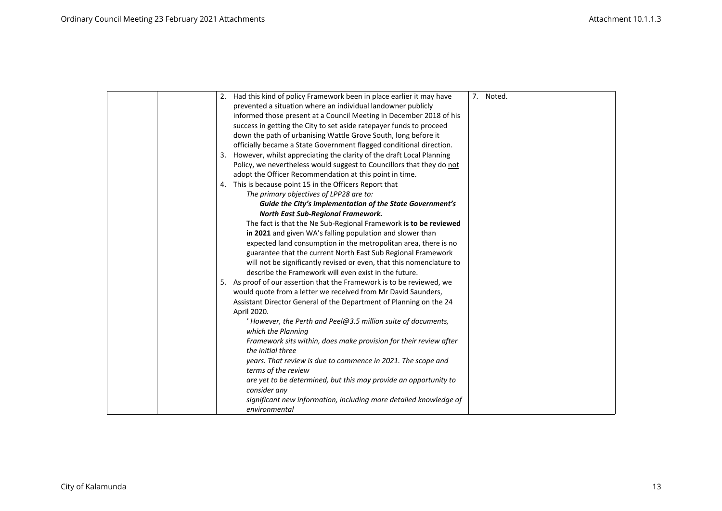|  | 2. Had this kind of policy Framework been in place earlier it may have  | 7. Noted. |
|--|-------------------------------------------------------------------------|-----------|
|  | prevented a situation where an individual landowner publicly            |           |
|  | informed those present at a Council Meeting in December 2018 of his     |           |
|  | success in getting the City to set aside ratepayer funds to proceed     |           |
|  | down the path of urbanising Wattle Grove South, long before it          |           |
|  | officially became a State Government flagged conditional direction.     |           |
|  | 3. However, whilst appreciating the clarity of the draft Local Planning |           |
|  | Policy, we nevertheless would suggest to Councillors that they do not   |           |
|  | adopt the Officer Recommendation at this point in time.                 |           |
|  | This is because point 15 in the Officers Report that<br>4.              |           |
|  | The primary objectives of LPP28 are to:                                 |           |
|  | Guide the City's implementation of the State Government's               |           |
|  | North East Sub-Regional Framework.                                      |           |
|  | The fact is that the Ne Sub-Regional Framework is to be reviewed        |           |
|  | in 2021 and given WA's falling population and slower than               |           |
|  | expected land consumption in the metropolitan area, there is no         |           |
|  | guarantee that the current North East Sub Regional Framework            |           |
|  | will not be significantly revised or even, that this nomenclature to    |           |
|  | describe the Framework will even exist in the future.                   |           |
|  | 5. As proof of our assertion that the Framework is to be reviewed, we   |           |
|  | would quote from a letter we received from Mr David Saunders,           |           |
|  | Assistant Director General of the Department of Planning on the 24      |           |
|  | April 2020.                                                             |           |
|  | $'$ However, the Perth and Peel@3.5 million suite of documents,         |           |
|  | which the Planning                                                      |           |
|  | Framework sits within, does make provision for their review after       |           |
|  | the initial three                                                       |           |
|  | years. That review is due to commence in 2021. The scope and            |           |
|  | terms of the review                                                     |           |
|  | are yet to be determined, but this may provide an opportunity to        |           |
|  | consider any                                                            |           |
|  | significant new information, including more detailed knowledge of       |           |
|  | environmental                                                           |           |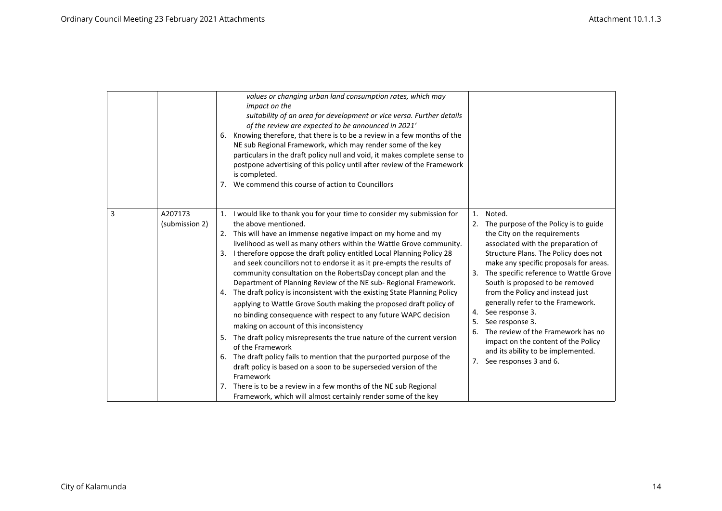|                                | values or changing urban land consumption rates, which may<br>impact on the<br>suitability of an area for development or vice versa. Further details<br>of the review are expected to be announced in 2021'<br>Knowing therefore, that there is to be a review in a few months of the<br>6.<br>NE sub Regional Framework, which may render some of the key<br>particulars in the draft policy null and void, it makes complete sense to<br>postpone advertising of this policy until after review of the Framework<br>is completed.<br>We commend this course of action to Councillors<br>7.                                                                                                                                                                                                                                                                                                                                                                                                                                                                                                                                                                                                                       |                                                                                                                                                                                                                                                                                                                                                                                                                                                                                                                                                                                         |
|--------------------------------|--------------------------------------------------------------------------------------------------------------------------------------------------------------------------------------------------------------------------------------------------------------------------------------------------------------------------------------------------------------------------------------------------------------------------------------------------------------------------------------------------------------------------------------------------------------------------------------------------------------------------------------------------------------------------------------------------------------------------------------------------------------------------------------------------------------------------------------------------------------------------------------------------------------------------------------------------------------------------------------------------------------------------------------------------------------------------------------------------------------------------------------------------------------------------------------------------------------------|-----------------------------------------------------------------------------------------------------------------------------------------------------------------------------------------------------------------------------------------------------------------------------------------------------------------------------------------------------------------------------------------------------------------------------------------------------------------------------------------------------------------------------------------------------------------------------------------|
| 3<br>A207173<br>(submission 2) | 1. I would like to thank you for your time to consider my submission for<br>the above mentioned.<br>This will have an immense negative impact on my home and my<br>2.<br>livelihood as well as many others within the Wattle Grove community.<br>I therefore oppose the draft policy entitled Local Planning Policy 28<br>3.<br>and seek councillors not to endorse it as it pre-empts the results of<br>community consultation on the RobertsDay concept plan and the<br>Department of Planning Review of the NE sub-Regional Framework.<br>4. The draft policy is inconsistent with the existing State Planning Policy<br>applying to Wattle Grove South making the proposed draft policy of<br>no binding consequence with respect to any future WAPC decision<br>making on account of this inconsistency<br>5. The draft policy misrepresents the true nature of the current version<br>of the Framework<br>The draft policy fails to mention that the purported purpose of the<br>6.<br>draft policy is based on a soon to be superseded version of the<br>Framework<br>There is to be a review in a few months of the NE sub Regional<br>7.<br>Framework, which will almost certainly render some of the key | Noted.<br>1.<br>The purpose of the Policy is to guide<br>2.<br>the City on the requirements<br>associated with the preparation of<br>Structure Plans. The Policy does not<br>make any specific proposals for areas.<br>The specific reference to Wattle Grove<br>3.<br>South is proposed to be removed<br>from the Policy and instead just<br>generally refer to the Framework.<br>See response 3.<br>4.<br>See response 3.<br>5.<br>The review of the Framework has no<br>6.<br>impact on the content of the Policy<br>and its ability to be implemented.<br>7. See responses 3 and 6. |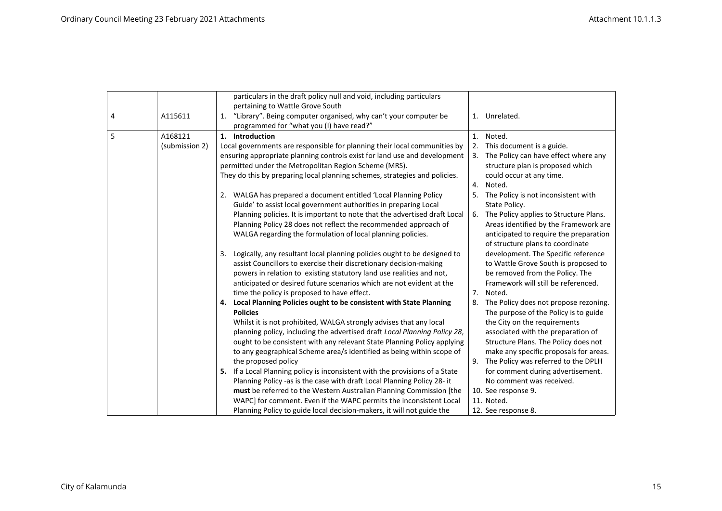|   |                | particulars in the draft policy null and void, including particulars                     |                |                                                                                   |
|---|----------------|------------------------------------------------------------------------------------------|----------------|-----------------------------------------------------------------------------------|
|   |                | pertaining to Wattle Grove South                                                         |                |                                                                                   |
| 4 | A115611        | "Library". Being computer organised, why can't your computer be<br>1.                    |                | 1. Unrelated.                                                                     |
|   |                | programmed for "what you (I) have read?"                                                 |                |                                                                                   |
| 5 | A168121        | 1. Introduction                                                                          | 1.             | Noted.                                                                            |
|   | (submission 2) | Local governments are responsible for planning their local communities by                |                | 2. This document is a guide.                                                      |
|   |                | ensuring appropriate planning controls exist for land use and development                | 3.             | The Policy can have effect where any                                              |
|   |                | permitted under the Metropolitan Region Scheme (MRS).                                    |                | structure plan is proposed which                                                  |
|   |                | They do this by preparing local planning schemes, strategies and policies.               |                | could occur at any time.                                                          |
|   |                |                                                                                          | 4.             | Noted.                                                                            |
|   |                | 2. WALGA has prepared a document entitled 'Local Planning Policy                         | 5.             | The Policy is not inconsistent with                                               |
|   |                | Guide' to assist local government authorities in preparing Local                         |                | State Policy.                                                                     |
|   |                | Planning policies. It is important to note that the advertised draft Local               | 6.             | The Policy applies to Structure Plans.                                            |
|   |                | Planning Policy 28 does not reflect the recommended approach of                          |                | Areas identified by the Framework are                                             |
|   |                | WALGA regarding the formulation of local planning policies.                              |                | anticipated to require the preparation                                            |
|   |                |                                                                                          |                | of structure plans to coordinate                                                  |
|   |                | Logically, any resultant local planning policies ought to be designed to<br>3.           |                | development. The Specific reference                                               |
|   |                | assist Councillors to exercise their discretionary decision-making                       |                | to Wattle Grove South is proposed to                                              |
|   |                | powers in relation to existing statutory land use realities and not,                     |                | be removed from the Policy. The                                                   |
|   |                | anticipated or desired future scenarios which are not evident at the                     |                | Framework will still be referenced.                                               |
|   |                | time the policy is proposed to have effect.                                              | 7 <sub>1</sub> | Noted.                                                                            |
|   |                | 4. Local Planning Policies ought to be consistent with State Planning<br><b>Policies</b> |                | 8. The Policy does not propose rezoning.<br>The purpose of the Policy is to guide |
|   |                | Whilst it is not prohibited, WALGA strongly advises that any local                       |                | the City on the requirements                                                      |
|   |                | planning policy, including the advertised draft Local Planning Policy 28,                |                | associated with the preparation of                                                |
|   |                | ought to be consistent with any relevant State Planning Policy applying                  |                | Structure Plans. The Policy does not                                              |
|   |                | to any geographical Scheme area/s identified as being within scope of                    |                | make any specific proposals for areas.                                            |
|   |                | the proposed policy                                                                      | 9.             | The Policy was referred to the DPLH                                               |
|   |                | If a Local Planning policy is inconsistent with the provisions of a State<br>5.          |                | for comment during advertisement.                                                 |
|   |                | Planning Policy -as is the case with draft Local Planning Policy 28- it                  |                | No comment was received.                                                          |
|   |                | must be referred to the Western Australian Planning Commission [the                      |                | 10. See response 9.                                                               |
|   |                | WAPC] for comment. Even if the WAPC permits the inconsistent Local                       |                | 11. Noted.                                                                        |
|   |                | Planning Policy to guide local decision-makers, it will not guide the                    |                | 12. See response 8.                                                               |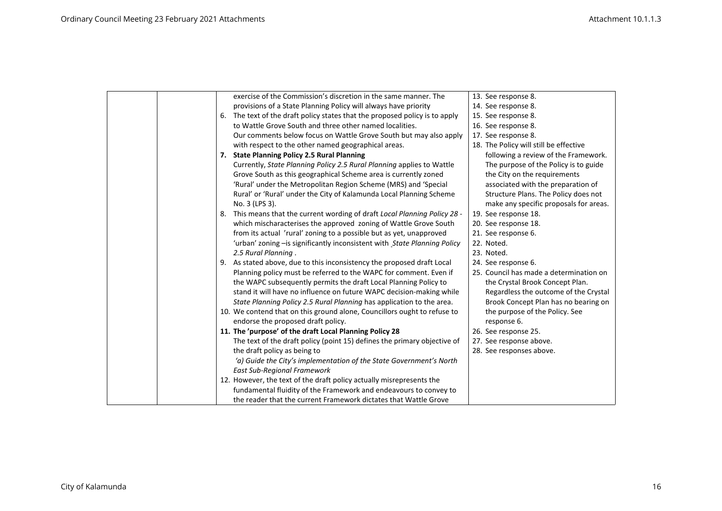|    | exercise of the Commission's discretion in the same manner. The           | 13. See response 8.                     |
|----|---------------------------------------------------------------------------|-----------------------------------------|
|    | provisions of a State Planning Policy will always have priority           | 14. See response 8.                     |
| 6. | The text of the draft policy states that the proposed policy is to apply  | 15. See response 8.                     |
|    | to Wattle Grove South and three other named localities.                   | 16. See response 8.                     |
|    | Our comments below focus on Wattle Grove South but may also apply         | 17. See response 8.                     |
|    | with respect to the other named geographical areas.                       | 18. The Policy will still be effective  |
|    | 7. State Planning Policy 2.5 Rural Planning                               | following a review of the Framework.    |
|    | Currently, State Planning Policy 2.5 Rural Planning applies to Wattle     | The purpose of the Policy is to guide   |
|    | Grove South as this geographical Scheme area is currently zoned           | the City on the requirements            |
|    | 'Rural' under the Metropolitan Region Scheme (MRS) and 'Special           | associated with the preparation of      |
|    | Rural' or 'Rural' under the City of Kalamunda Local Planning Scheme       | Structure Plans. The Policy does not    |
|    | No. 3 (LPS 3).                                                            | make any specific proposals for areas.  |
| 8. | This means that the current wording of draft Local Planning Policy 28 -   | 19. See response 18.                    |
|    | which mischaracterises the approved zoning of Wattle Grove South          | 20. See response 18.                    |
|    | from its actual 'rural' zoning to a possible but as yet, unapproved       | 21. See response 6.                     |
|    | 'urban' zoning - is significantly inconsistent with State Planning Policy | 22. Noted.                              |
|    | 2.5 Rural Planning.                                                       | 23. Noted.                              |
|    | 9. As stated above, due to this inconsistency the proposed draft Local    | 24. See response 6.                     |
|    | Planning policy must be referred to the WAPC for comment. Even if         | 25. Council has made a determination on |
|    | the WAPC subsequently permits the draft Local Planning Policy to          | the Crystal Brook Concept Plan.         |
|    | stand it will have no influence on future WAPC decision-making while      | Regardless the outcome of the Crystal   |
|    | State Planning Policy 2.5 Rural Planning has application to the area.     | Brook Concept Plan has no bearing on    |
|    | 10. We contend that on this ground alone, Councillors ought to refuse to  | the purpose of the Policy. See          |
|    | endorse the proposed draft policy.                                        | response 6.                             |
|    | 11. The 'purpose' of the draft Local Planning Policy 28                   | 26. See response 25.                    |
|    | The text of the draft policy (point 15) defines the primary objective of  | 27. See response above.                 |
|    | the draft policy as being to                                              | 28. See responses above.                |
|    | 'a) Guide the City's implementation of the State Government's North       |                                         |
|    | <b>East Sub-Regional Framework</b>                                        |                                         |
|    | 12. However, the text of the draft policy actually misrepresents the      |                                         |
|    | fundamental fluidity of the Framework and endeavours to convey to         |                                         |
|    | the reader that the current Framework dictates that Wattle Grove          |                                         |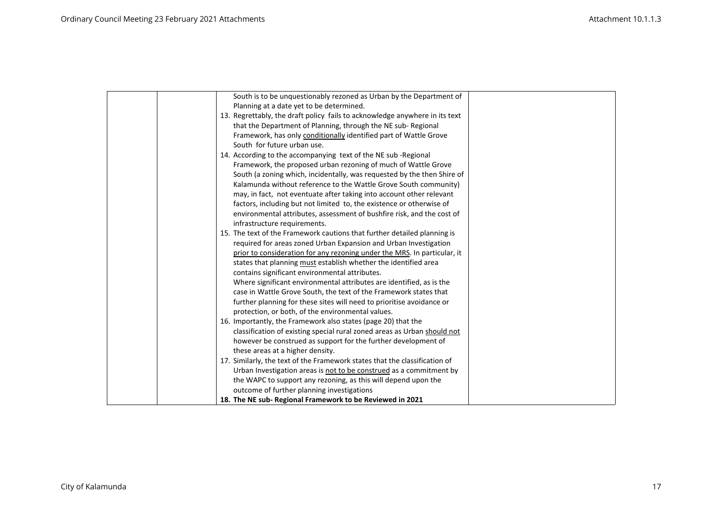| South is to be unquestionably rezoned as Urban by the Department of         |  |
|-----------------------------------------------------------------------------|--|
| Planning at a date yet to be determined.                                    |  |
| 13. Regrettably, the draft policy fails to acknowledge anywhere in its text |  |
| that the Department of Planning, through the NE sub-Regional                |  |
| Framework, has only conditionally identified part of Wattle Grove           |  |
| South for future urban use.                                                 |  |
| 14. According to the accompanying text of the NE sub-Regional               |  |
| Framework, the proposed urban rezoning of much of Wattle Grove              |  |
| South (a zoning which, incidentally, was requested by the then Shire of     |  |
| Kalamunda without reference to the Wattle Grove South community)            |  |
| may, in fact, not eventuate after taking into account other relevant        |  |
| factors, including but not limited to, the existence or otherwise of        |  |
| environmental attributes, assessment of bushfire risk, and the cost of      |  |
| infrastructure requirements.                                                |  |
| 15. The text of the Framework cautions that further detailed planning is    |  |
| required for areas zoned Urban Expansion and Urban Investigation            |  |
| prior to consideration for any rezoning under the MRS. In particular, it    |  |
| states that planning must establish whether the identified area             |  |
| contains significant environmental attributes.                              |  |
| Where significant environmental attributes are identified, as is the        |  |
| case in Wattle Grove South, the text of the Framework states that           |  |
| further planning for these sites will need to prioritise avoidance or       |  |
| protection, or both, of the environmental values.                           |  |
| 16. Importantly, the Framework also states (page 20) that the               |  |
| classification of existing special rural zoned areas as Urban should not    |  |
| however be construed as support for the further development of              |  |
| these areas at a higher density.                                            |  |
| 17. Similarly, the text of the Framework states that the classification of  |  |
| Urban Investigation areas is not to be construed as a commitment by         |  |
| the WAPC to support any rezoning, as this will depend upon the              |  |
| outcome of further planning investigations                                  |  |
| 18. The NE sub-Regional Framework to be Reviewed in 2021                    |  |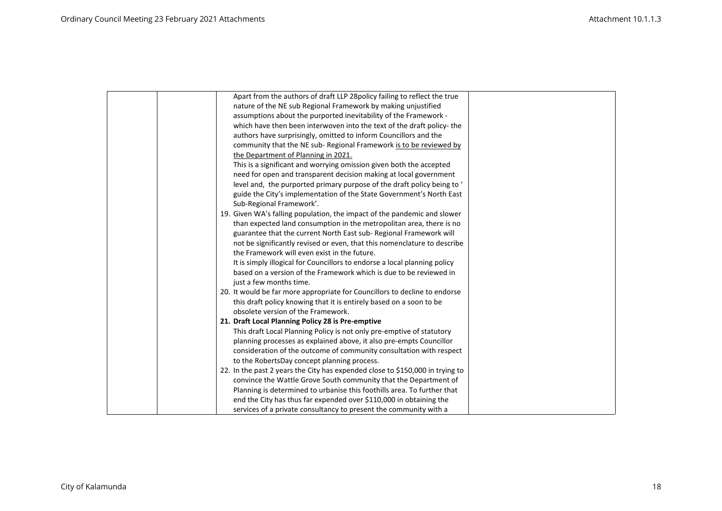| Apart from the authors of draft LLP 28 policy failing to reflect the true     |
|-------------------------------------------------------------------------------|
| nature of the NE sub Regional Framework by making unjustified                 |
| assumptions about the purported inevitability of the Framework -              |
| which have then been interwoven into the text of the draft policy-the         |
| authors have surprisingly, omitted to inform Councillors and the              |
| community that the NE sub- Regional Framework is to be reviewed by            |
| the Department of Planning in 2021.                                           |
| This is a significant and worrying omission given both the accepted           |
| need for open and transparent decision making at local government             |
| level and, the purported primary purpose of the draft policy being to '       |
| guide the City's implementation of the State Government's North East          |
| Sub-Regional Framework'.                                                      |
| 19. Given WA's falling population, the impact of the pandemic and slower      |
| than expected land consumption in the metropolitan area, there is no          |
| guarantee that the current North East sub- Regional Framework will            |
| not be significantly revised or even, that this nomenclature to describe      |
| the Framework will even exist in the future.                                  |
| It is simply illogical for Councillors to endorse a local planning policy     |
| based on a version of the Framework which is due to be reviewed in            |
| just a few months time.                                                       |
| 20. It would be far more appropriate for Councillors to decline to endorse    |
| this draft policy knowing that it is entirely based on a soon to be           |
| obsolete version of the Framework.                                            |
| 21. Draft Local Planning Policy 28 is Pre-emptive                             |
| This draft Local Planning Policy is not only pre-emptive of statutory         |
| planning processes as explained above, it also pre-empts Councillor           |
| consideration of the outcome of community consultation with respect           |
| to the RobertsDay concept planning process.                                   |
| 22. In the past 2 years the City has expended close to \$150,000 in trying to |
| convince the Wattle Grove South community that the Department of              |
| Planning is determined to urbanise this foothills area. To further that       |
| end the City has thus far expended over \$110,000 in obtaining the            |
| services of a private consultancy to present the community with a             |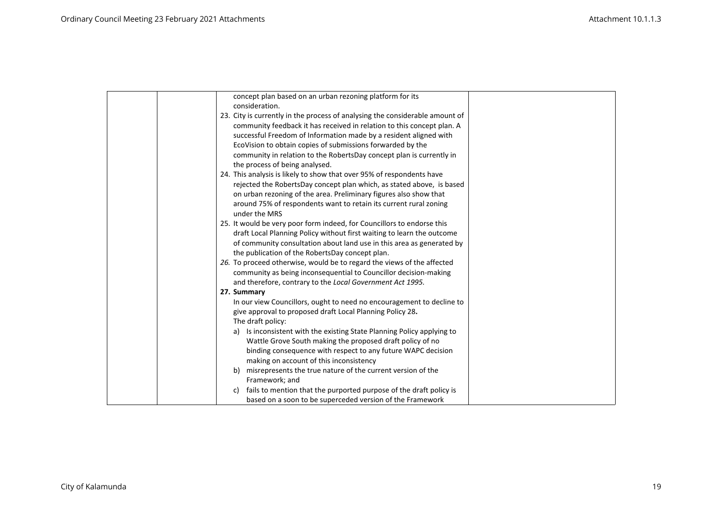| concept plan based on an urban rezoning platform for its                                                                               |  |
|----------------------------------------------------------------------------------------------------------------------------------------|--|
| consideration.                                                                                                                         |  |
| 23. City is currently in the process of analysing the considerable amount of                                                           |  |
| community feedback it has received in relation to this concept plan. A                                                                 |  |
| successful Freedom of Information made by a resident aligned with                                                                      |  |
| EcoVision to obtain copies of submissions forwarded by the                                                                             |  |
| community in relation to the RobertsDay concept plan is currently in                                                                   |  |
| the process of being analysed.                                                                                                         |  |
| 24. This analysis is likely to show that over 95% of respondents have                                                                  |  |
| rejected the RobertsDay concept plan which, as stated above, is based                                                                  |  |
| on urban rezoning of the area. Preliminary figures also show that                                                                      |  |
| around 75% of respondents want to retain its current rural zoning                                                                      |  |
| under the MRS                                                                                                                          |  |
| 25. It would be very poor form indeed, for Councillors to endorse this                                                                 |  |
| draft Local Planning Policy without first waiting to learn the outcome                                                                 |  |
| of community consultation about land use in this area as generated by                                                                  |  |
| the publication of the RobertsDay concept plan.                                                                                        |  |
| 26. To proceed otherwise, would be to regard the views of the affected                                                                 |  |
| community as being inconsequential to Councillor decision-making                                                                       |  |
| and therefore, contrary to the Local Government Act 1995.                                                                              |  |
| 27. Summary                                                                                                                            |  |
| In our view Councillors, ought to need no encouragement to decline to                                                                  |  |
| give approval to proposed draft Local Planning Policy 28.                                                                              |  |
| The draft policy:                                                                                                                      |  |
| Is inconsistent with the existing State Planning Policy applying to<br>a)<br>Wattle Grove South making the proposed draft policy of no |  |
| binding consequence with respect to any future WAPC decision                                                                           |  |
| making on account of this inconsistency                                                                                                |  |
| misrepresents the true nature of the current version of the<br>b)                                                                      |  |
| Framework; and                                                                                                                         |  |
| fails to mention that the purported purpose of the draft policy is<br>c)                                                               |  |
| based on a soon to be superceded version of the Framework                                                                              |  |
|                                                                                                                                        |  |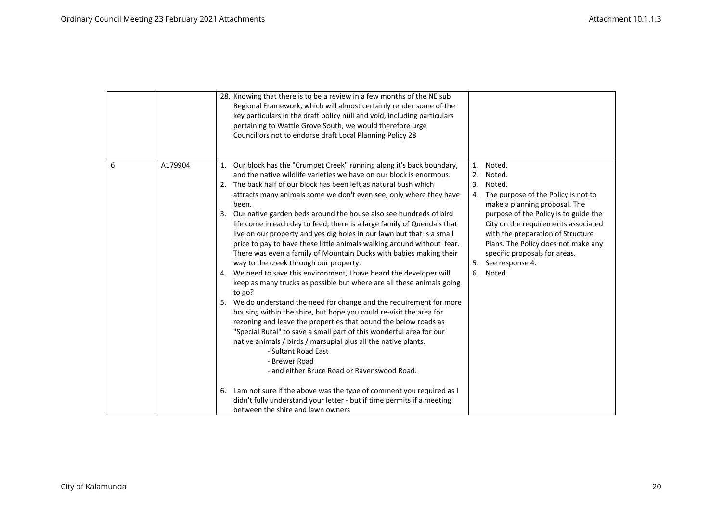|   |         | 28. Knowing that there is to be a review in a few months of the NE sub<br>Regional Framework, which will almost certainly render some of the<br>key particulars in the draft policy null and void, including particulars<br>pertaining to Wattle Grove South, we would therefore urge<br>Councillors not to endorse draft Local Planning Policy 28                                                                                                                                                                                                                                                                                                                                                                                                                                                                                                                                                                                                                                                                                                                                                                                                                                                                                                  |                                                                                                                                                                                                                                                                                                                                                               |
|---|---------|-----------------------------------------------------------------------------------------------------------------------------------------------------------------------------------------------------------------------------------------------------------------------------------------------------------------------------------------------------------------------------------------------------------------------------------------------------------------------------------------------------------------------------------------------------------------------------------------------------------------------------------------------------------------------------------------------------------------------------------------------------------------------------------------------------------------------------------------------------------------------------------------------------------------------------------------------------------------------------------------------------------------------------------------------------------------------------------------------------------------------------------------------------------------------------------------------------------------------------------------------------|---------------------------------------------------------------------------------------------------------------------------------------------------------------------------------------------------------------------------------------------------------------------------------------------------------------------------------------------------------------|
| 6 | A179904 | 1. Our block has the "Crumpet Creek" running along it's back boundary,<br>and the native wildlife varieties we have on our block is enormous.<br>2. The back half of our block has been left as natural bush which<br>attracts many animals some we don't even see, only where they have<br>been.<br>Our native garden beds around the house also see hundreds of bird<br>3.<br>life come in each day to feed, there is a large family of Quenda's that<br>live on our property and yes dig holes in our lawn but that is a small<br>price to pay to have these little animals walking around without fear.<br>There was even a family of Mountain Ducks with babies making their<br>way to the creek through our property.<br>4. We need to save this environment, I have heard the developer will<br>keep as many trucks as possible but where are all these animals going<br>to go?<br>We do understand the need for change and the requirement for more<br>5.<br>housing within the shire, but hope you could re-visit the area for<br>rezoning and leave the properties that bound the below roads as<br>"Special Rural" to save a small part of this wonderful area for our<br>native animals / birds / marsupial plus all the native plants. | Noted.<br>1.<br>Noted.<br>2.<br>3.<br>Noted.<br>The purpose of the Policy is not to<br>4.<br>make a planning proposal. The<br>purpose of the Policy is to guide the<br>City on the requirements associated<br>with the preparation of Structure<br>Plans. The Policy does not make any<br>specific proposals for areas.<br>5. See response 4.<br>6.<br>Noted. |
|   |         | - Sultant Road East<br>- Brewer Road<br>- and either Bruce Road or Ravenswood Road.<br>6. I am not sure if the above was the type of comment you required as I<br>didn't fully understand your letter - but if time permits if a meeting<br>between the shire and lawn owners                                                                                                                                                                                                                                                                                                                                                                                                                                                                                                                                                                                                                                                                                                                                                                                                                                                                                                                                                                       |                                                                                                                                                                                                                                                                                                                                                               |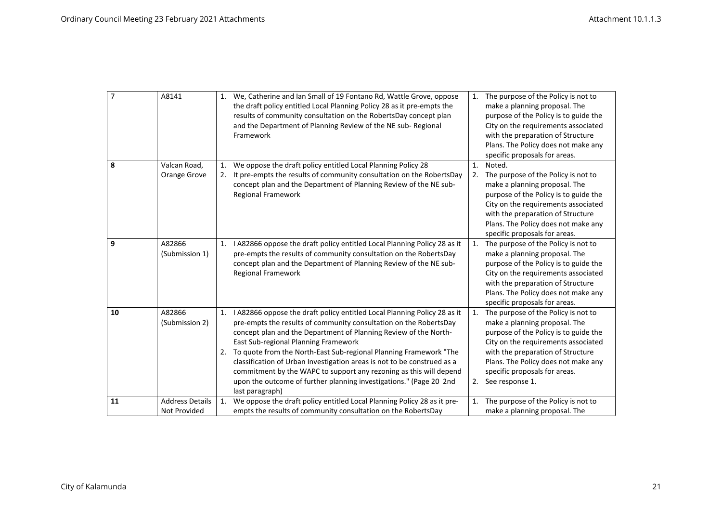| $\overline{7}$ | A8141                                  | 1. We, Catherine and Ian Small of 19 Fontano Rd, Wattle Grove, oppose<br>the draft policy entitled Local Planning Policy 28 as it pre-empts the<br>results of community consultation on the RobertsDay concept plan<br>and the Department of Planning Review of the NE sub-Regional<br>Framework                                                                                                                                                                                                                                                                                  | 1. The purpose of the Policy is not to<br>make a planning proposal. The<br>purpose of the Policy is to guide the<br>City on the requirements associated<br>with the preparation of Structure<br>Plans. The Policy does not make any<br>specific proposals for areas.                                |
|----------------|----------------------------------------|-----------------------------------------------------------------------------------------------------------------------------------------------------------------------------------------------------------------------------------------------------------------------------------------------------------------------------------------------------------------------------------------------------------------------------------------------------------------------------------------------------------------------------------------------------------------------------------|-----------------------------------------------------------------------------------------------------------------------------------------------------------------------------------------------------------------------------------------------------------------------------------------------------|
| 8              | Valcan Road,<br>Orange Grove           | We oppose the draft policy entitled Local Planning Policy 28<br>It pre-empts the results of community consultation on the RobertsDay<br>concept plan and the Department of Planning Review of the NE sub-<br><b>Regional Framework</b>                                                                                                                                                                                                                                                                                                                                            | Noted.<br>$\mathbf{1}$ .<br>The purpose of the Policy is not to<br>2.<br>make a planning proposal. The<br>purpose of the Policy is to guide the<br>City on the requirements associated<br>with the preparation of Structure<br>Plans. The Policy does not make any<br>specific proposals for areas. |
| 9              | A82866<br>(Submission 1)               | I A82866 oppose the draft policy entitled Local Planning Policy 28 as it<br>1.<br>pre-empts the results of community consultation on the RobertsDay<br>concept plan and the Department of Planning Review of the NE sub-<br><b>Regional Framework</b>                                                                                                                                                                                                                                                                                                                             | The purpose of the Policy is not to<br>1.<br>make a planning proposal. The<br>purpose of the Policy is to guide the<br>City on the requirements associated<br>with the preparation of Structure<br>Plans. The Policy does not make any<br>specific proposals for areas.                             |
| 10             | A82866<br>(Submission 2)               | I A82866 oppose the draft policy entitled Local Planning Policy 28 as it<br>1.<br>pre-empts the results of community consultation on the RobertsDay<br>concept plan and the Department of Planning Review of the North-<br>East Sub-regional Planning Framework<br>2. To quote from the North-East Sub-regional Planning Framework "The<br>classification of Urban Investigation areas is not to be construed as a<br>commitment by the WAPC to support any rezoning as this will depend<br>upon the outcome of further planning investigations." (Page 20 2nd<br>last paragraph) | The purpose of the Policy is not to<br>1.<br>make a planning proposal. The<br>purpose of the Policy is to guide the<br>City on the requirements associated<br>with the preparation of Structure<br>Plans. The Policy does not make any<br>specific proposals for areas.<br>2. See response 1.       |
| 11             | <b>Address Details</b><br>Not Provided | We oppose the draft policy entitled Local Planning Policy 28 as it pre-<br>1.<br>empts the results of community consultation on the RobertsDay                                                                                                                                                                                                                                                                                                                                                                                                                                    | The purpose of the Policy is not to<br>1.<br>make a planning proposal. The                                                                                                                                                                                                                          |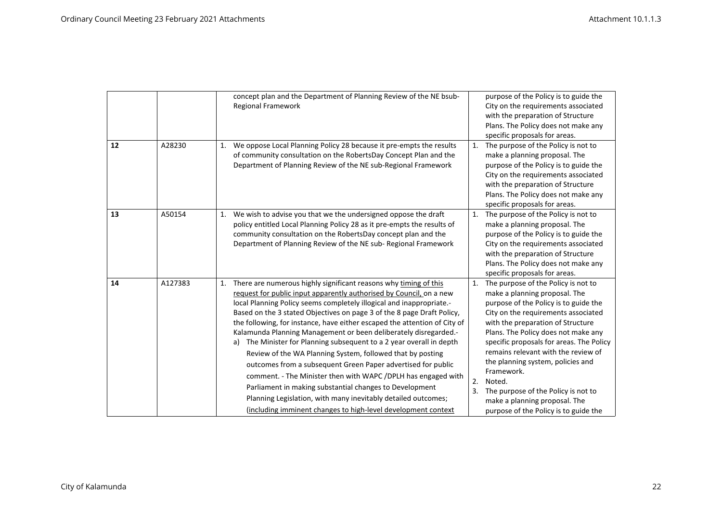|    |         | concept plan and the Department of Planning Review of the NE bsub-<br>Regional Framework                                                                                                                                                                                                                                                                                                                                                                                                                                                                                                                                                                                                                                                                                                                                                                                                                                 | purpose of the Policy is to guide the<br>City on the requirements associated<br>with the preparation of Structure<br>Plans. The Policy does not make any<br>specific proposals for areas.                                                                                                                                                                                                                                                                                                                           |
|----|---------|--------------------------------------------------------------------------------------------------------------------------------------------------------------------------------------------------------------------------------------------------------------------------------------------------------------------------------------------------------------------------------------------------------------------------------------------------------------------------------------------------------------------------------------------------------------------------------------------------------------------------------------------------------------------------------------------------------------------------------------------------------------------------------------------------------------------------------------------------------------------------------------------------------------------------|---------------------------------------------------------------------------------------------------------------------------------------------------------------------------------------------------------------------------------------------------------------------------------------------------------------------------------------------------------------------------------------------------------------------------------------------------------------------------------------------------------------------|
| 12 | A28230  | We oppose Local Planning Policy 28 because it pre-empts the results<br>1.<br>of community consultation on the RobertsDay Concept Plan and the<br>Department of Planning Review of the NE sub-Regional Framework                                                                                                                                                                                                                                                                                                                                                                                                                                                                                                                                                                                                                                                                                                          | The purpose of the Policy is not to<br>1.<br>make a planning proposal. The<br>purpose of the Policy is to guide the<br>City on the requirements associated<br>with the preparation of Structure<br>Plans. The Policy does not make any<br>specific proposals for areas.                                                                                                                                                                                                                                             |
| 13 | A50154  | We wish to advise you that we the undersigned oppose the draft<br>1.<br>policy entitled Local Planning Policy 28 as it pre-empts the results of<br>community consultation on the RobertsDay concept plan and the<br>Department of Planning Review of the NE sub- Regional Framework                                                                                                                                                                                                                                                                                                                                                                                                                                                                                                                                                                                                                                      | The purpose of the Policy is not to<br>1.<br>make a planning proposal. The<br>purpose of the Policy is to guide the<br>City on the requirements associated<br>with the preparation of Structure<br>Plans. The Policy does not make any<br>specific proposals for areas.                                                                                                                                                                                                                                             |
| 14 | A127383 | There are numerous highly significant reasons why timing of this<br>1.<br>request for public input apparently authorised by Council, on a new<br>local Planning Policy seems completely illogical and inappropriate.-<br>Based on the 3 stated Objectives on page 3 of the 8 page Draft Policy,<br>the following, for instance, have either escaped the attention of City of<br>Kalamunda Planning Management or been deliberately disregarded.-<br>The Minister for Planning subsequent to a 2 year overall in depth<br>a)<br>Review of the WA Planning System, followed that by posting<br>outcomes from a subsequent Green Paper advertised for public<br>comment. - The Minister then with WAPC / DPLH has engaged with<br>Parliament in making substantial changes to Development<br>Planning Legislation, with many inevitably detailed outcomes;<br>(including imminent changes to high-level development context | The purpose of the Policy is not to<br>1.<br>make a planning proposal. The<br>purpose of the Policy is to guide the<br>City on the requirements associated<br>with the preparation of Structure<br>Plans. The Policy does not make any<br>specific proposals for areas. The Policy<br>remains relevant with the review of<br>the planning system, policies and<br>Framework.<br>2.<br>Noted.<br>3.<br>The purpose of the Policy is not to<br>make a planning proposal. The<br>purpose of the Policy is to guide the |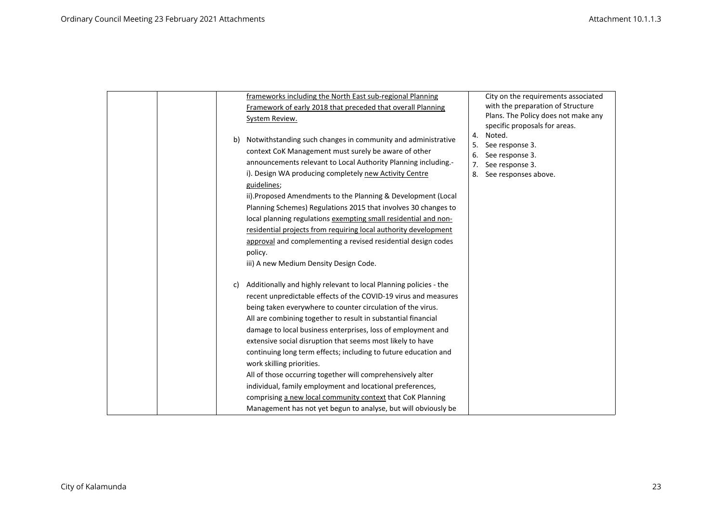|  |    | frameworks including the North East sub-regional Planning         |          | City on the requirements associated |
|--|----|-------------------------------------------------------------------|----------|-------------------------------------|
|  |    | Framework of early 2018 that preceded that overall Planning       |          | with the preparation of Structure   |
|  |    | System Review.                                                    |          | Plans. The Policy does not make any |
|  |    |                                                                   |          | specific proposals for areas.       |
|  | b) | Notwithstanding such changes in community and administrative      | 4.       | Noted.                              |
|  |    | context CoK Management must surely be aware of other              | 5.<br>6. | See response 3.<br>See response 3.  |
|  |    | announcements relevant to Local Authority Planning including.-    | 7.       | See response 3.                     |
|  |    | i). Design WA producing completely new Activity Centre            | 8.       | See responses above.                |
|  |    | guidelines;                                                       |          |                                     |
|  |    | ii). Proposed Amendments to the Planning & Development (Local     |          |                                     |
|  |    | Planning Schemes) Regulations 2015 that involves 30 changes to    |          |                                     |
|  |    | local planning regulations exempting small residential and non-   |          |                                     |
|  |    | residential projects from requiring local authority development   |          |                                     |
|  |    | approval and complementing a revised residential design codes     |          |                                     |
|  |    | policy.                                                           |          |                                     |
|  |    | iii) A new Medium Density Design Code.                            |          |                                     |
|  | C) | Additionally and highly relevant to local Planning policies - the |          |                                     |
|  |    | recent unpredictable effects of the COVID-19 virus and measures   |          |                                     |
|  |    | being taken everywhere to counter circulation of the virus.       |          |                                     |
|  |    | All are combining together to result in substantial financial     |          |                                     |
|  |    | damage to local business enterprises, loss of employment and      |          |                                     |
|  |    | extensive social disruption that seems most likely to have        |          |                                     |
|  |    | continuing long term effects; including to future education and   |          |                                     |
|  |    | work skilling priorities.                                         |          |                                     |
|  |    | All of those occurring together will comprehensively alter        |          |                                     |
|  |    | individual, family employment and locational preferences,         |          |                                     |
|  |    | comprising a new local community context that CoK Planning        |          |                                     |
|  |    | Management has not yet begun to analyse, but will obviously be    |          |                                     |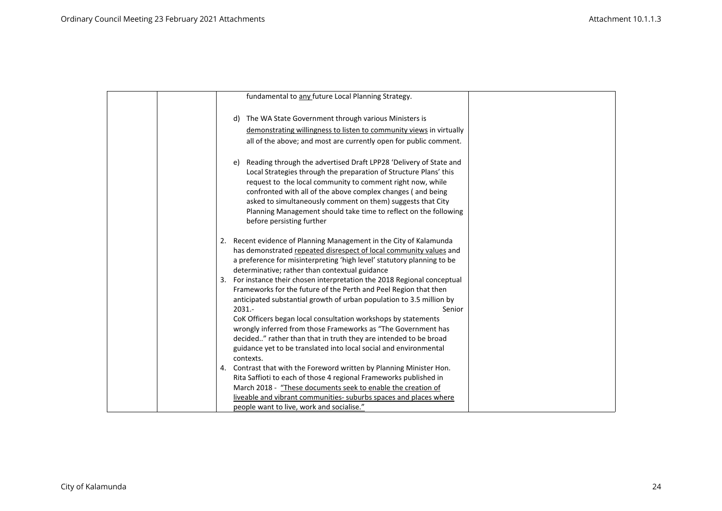| fundamental to any future Local Planning Strategy.                                                                                                                                                                                                                                                                                                                                                                                                                                                                                     |
|----------------------------------------------------------------------------------------------------------------------------------------------------------------------------------------------------------------------------------------------------------------------------------------------------------------------------------------------------------------------------------------------------------------------------------------------------------------------------------------------------------------------------------------|
| The WA State Government through various Ministers is<br>d)                                                                                                                                                                                                                                                                                                                                                                                                                                                                             |
| demonstrating willingness to listen to community views in virtually                                                                                                                                                                                                                                                                                                                                                                                                                                                                    |
| all of the above; and most are currently open for public comment.                                                                                                                                                                                                                                                                                                                                                                                                                                                                      |
| Reading through the advertised Draft LPP28 'Delivery of State and<br>e)<br>Local Strategies through the preparation of Structure Plans' this<br>request to the local community to comment right now, while<br>confronted with all of the above complex changes (and being<br>asked to simultaneously comment on them) suggests that City<br>Planning Management should take time to reflect on the following<br>before persisting further                                                                                              |
| 2. Recent evidence of Planning Management in the City of Kalamunda<br>has demonstrated repeated disrespect of local community values and<br>a preference for misinterpreting 'high level' statutory planning to be<br>determinative; rather than contextual guidance                                                                                                                                                                                                                                                                   |
| For instance their chosen interpretation the 2018 Regional conceptual<br>3.<br>Frameworks for the future of the Perth and Peel Region that then<br>anticipated substantial growth of urban population to 3.5 million by<br>$2031. -$<br>Senior<br>CoK Officers began local consultation workshops by statements<br>wrongly inferred from those Frameworks as "The Government has<br>decided" rather than that in truth they are intended to be broad<br>guidance yet to be translated into local social and environmental<br>contexts. |
| Contrast that with the Foreword written by Planning Minister Hon.<br>4.<br>Rita Saffioti to each of those 4 regional Frameworks published in<br>March 2018 - "These documents seek to enable the creation of<br>liveable and vibrant communities- suburbs spaces and places where<br>people want to live, work and socialise."                                                                                                                                                                                                         |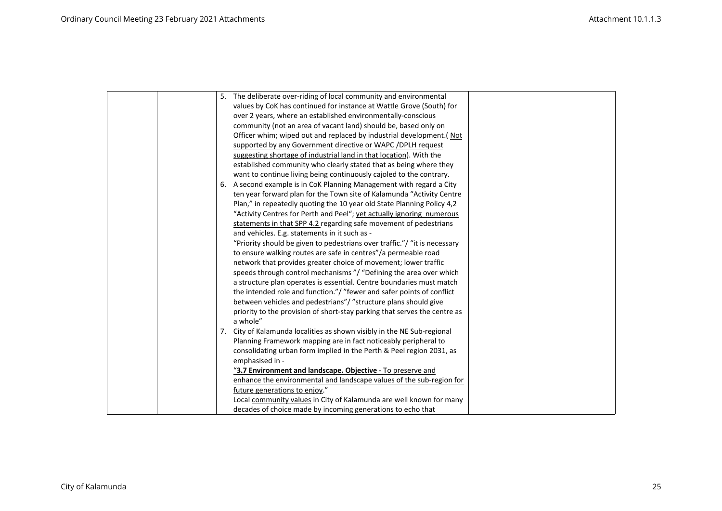|  | 5. The deliberate over-riding of local community and environmental        |
|--|---------------------------------------------------------------------------|
|  | values by CoK has continued for instance at Wattle Grove (South) for      |
|  | over 2 years, where an established environmentally-conscious              |
|  | community (not an area of vacant land) should be, based only on           |
|  | Officer whim; wiped out and replaced by industrial development.(Not       |
|  | supported by any Government directive or WAPC / DPLH request              |
|  | suggesting shortage of industrial land in that location). With the        |
|  | established community who clearly stated that as being where they         |
|  | want to continue living being continuously cajoled to the contrary.       |
|  | 6. A second example is in CoK Planning Management with regard a City      |
|  | ten year forward plan for the Town site of Kalamunda "Activity Centre     |
|  | Plan," in repeatedly quoting the 10 year old State Planning Policy 4,2    |
|  | "Activity Centres for Perth and Peel"; yet actually ignoring numerous     |
|  | statements in that SPP 4.2 regarding safe movement of pedestrians         |
|  | and vehicles. E.g. statements in it such as -                             |
|  | "Priority should be given to pedestrians over traffic."/ "it is necessary |
|  | to ensure walking routes are safe in centres"/a permeable road            |
|  | network that provides greater choice of movement; lower traffic           |
|  | speeds through control mechanisms "/ "Defining the area over which        |
|  | a structure plan operates is essential. Centre boundaries must match      |
|  | the intended role and function."/ "fewer and safer points of conflict     |
|  | between vehicles and pedestrians"/ "structure plans should give           |
|  | priority to the provision of short-stay parking that serves the centre as |
|  | a whole"                                                                  |
|  | 7. City of Kalamunda localities as shown visibly in the NE Sub-regional   |
|  | Planning Framework mapping are in fact noticeably peripheral to           |
|  | consolidating urban form implied in the Perth & Peel region 2031, as      |
|  | emphasised in -                                                           |
|  | "3.7 Environment and landscape. Objective - To preserve and               |
|  | enhance the environmental and landscape values of the sub-region for      |
|  | future generations to enjoy."                                             |
|  | Local community values in City of Kalamunda are well known for many       |
|  | decades of choice made by incoming generations to echo that               |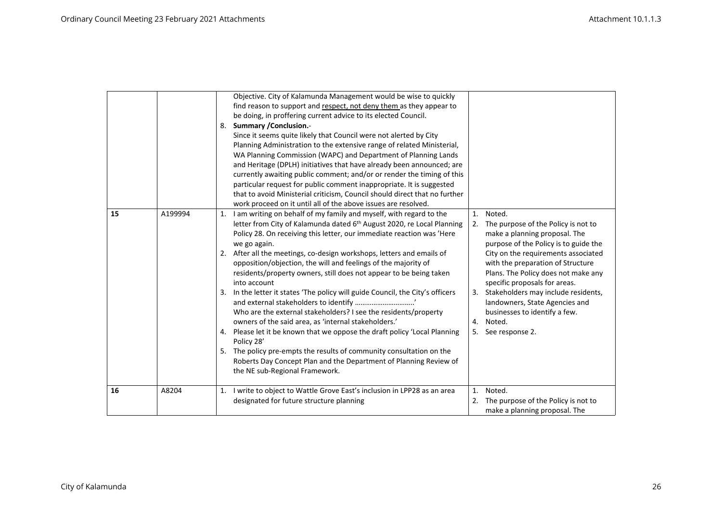|    |         | Objective. City of Kalamunda Management would be wise to quickly<br>find reason to support and respect, not deny them as they appear to<br>be doing, in proffering current advice to its elected Council.<br><b>Summary / Conclusion.-</b><br>8.<br>Since it seems quite likely that Council were not alerted by City<br>Planning Administration to the extensive range of related Ministerial,<br>WA Planning Commission (WAPC) and Department of Planning Lands<br>and Heritage (DPLH) initiatives that have already been announced; are<br>currently awaiting public comment; and/or or render the timing of this<br>particular request for public comment inappropriate. It is suggested<br>that to avoid Ministerial criticism, Council should direct that no further<br>work proceed on it until all of the above issues are resolved.                                                                                                                           |                                                                                                                                                                                                                                                                                                                                                                                                                                                  |
|----|---------|------------------------------------------------------------------------------------------------------------------------------------------------------------------------------------------------------------------------------------------------------------------------------------------------------------------------------------------------------------------------------------------------------------------------------------------------------------------------------------------------------------------------------------------------------------------------------------------------------------------------------------------------------------------------------------------------------------------------------------------------------------------------------------------------------------------------------------------------------------------------------------------------------------------------------------------------------------------------|--------------------------------------------------------------------------------------------------------------------------------------------------------------------------------------------------------------------------------------------------------------------------------------------------------------------------------------------------------------------------------------------------------------------------------------------------|
| 15 | A199994 | I am writing on behalf of my family and myself, with regard to the<br>1.<br>letter from City of Kalamunda dated 6th August 2020, re Local Planning<br>Policy 28. On receiving this letter, our immediate reaction was 'Here<br>we go again.<br>2. After all the meetings, co-design workshops, letters and emails of<br>opposition/objection, the will and feelings of the majority of<br>residents/property owners, still does not appear to be being taken<br>into account<br>In the letter it states 'The policy will guide Council, the City's officers<br>3.<br>Who are the external stakeholders? I see the residents/property<br>owners of the said area, as 'internal stakeholders.'<br>4. Please let it be known that we oppose the draft policy 'Local Planning<br>Policy 28'<br>5. The policy pre-empts the results of community consultation on the<br>Roberts Day Concept Plan and the Department of Planning Review of<br>the NE sub-Regional Framework. | Noted.<br>1.<br>The purpose of the Policy is not to<br>2.<br>make a planning proposal. The<br>purpose of the Policy is to guide the<br>City on the requirements associated<br>with the preparation of Structure<br>Plans. The Policy does not make any<br>specific proposals for areas.<br>Stakeholders may include residents,<br>3.<br>landowners, State Agencies and<br>businesses to identify a few.<br>Noted.<br>4.<br>See response 2.<br>5. |
| 16 | A8204   | I write to object to Wattle Grove East's inclusion in LPP28 as an area<br>designated for future structure planning                                                                                                                                                                                                                                                                                                                                                                                                                                                                                                                                                                                                                                                                                                                                                                                                                                                     | 1.<br>Noted.<br>The purpose of the Policy is not to<br>2.<br>make a planning proposal. The                                                                                                                                                                                                                                                                                                                                                       |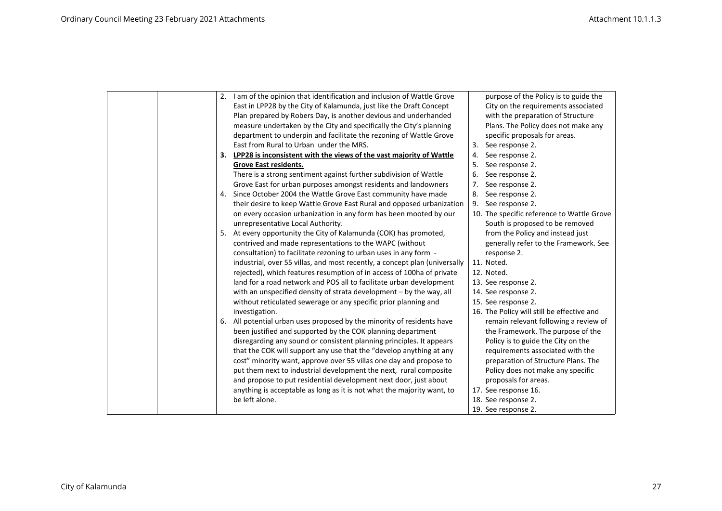| 2. I am of the opinion that identification and inclusion of Wattle Grove   | purpose of the Policy is to guide the      |
|----------------------------------------------------------------------------|--------------------------------------------|
| East in LPP28 by the City of Kalamunda, just like the Draft Concept        | City on the requirements associated        |
| Plan prepared by Robers Day, is another devious and underhanded            | with the preparation of Structure          |
| measure undertaken by the City and specifically the City's planning        | Plans. The Policy does not make any        |
| department to underpin and facilitate the rezoning of Wattle Grove         | specific proposals for areas.              |
| East from Rural to Urban under the MRS.                                    | See response 2.<br>3.                      |
| 3. LPP28 is inconsistent with the views of the vast majority of Wattle     | See response 2.<br>4.                      |
| Grove East residents.                                                      | See response 2.<br>5.                      |
| There is a strong sentiment against further subdivision of Wattle          | 6.<br>See response 2.                      |
| Grove East for urban purposes amongst residents and landowners             | 7.<br>See response 2.                      |
| 4. Since October 2004 the Wattle Grove East community have made            | 8.<br>See response 2.                      |
| their desire to keep Wattle Grove East Rural and opposed urbanization      | 9.<br>See response 2.                      |
| on every occasion urbanization in any form has been mooted by our          | 10. The specific reference to Wattle Grove |
| unrepresentative Local Authority.                                          | South is proposed to be removed            |
| 5. At every opportunity the City of Kalamunda (COK) has promoted,          | from the Policy and instead just           |
| contrived and made representations to the WAPC (without                    | generally refer to the Framework. See      |
| consultation) to facilitate rezoning to urban uses in any form -           | response 2.                                |
| industrial, over 55 villas, and most recently, a concept plan (universally | 11. Noted.                                 |
| rejected), which features resumption of in access of 100ha of private      | 12. Noted.                                 |
| land for a road network and POS all to facilitate urban development        | 13. See response 2.                        |
| with an unspecified density of strata development - by the way, all        | 14. See response 2.                        |
| without reticulated sewerage or any specific prior planning and            | 15. See response 2.                        |
| investigation.                                                             | 16. The Policy will still be effective and |
| 6. All potential urban uses proposed by the minority of residents have     | remain relevant following a review of      |
| been justified and supported by the COK planning department                | the Framework. The purpose of the          |
| disregarding any sound or consistent planning principles. It appears       | Policy is to guide the City on the         |
| that the COK will support any use that the "develop anything at any        | requirements associated with the           |
| cost" minority want, approve over 55 villas one day and propose to         | preparation of Structure Plans. The        |
| put them next to industrial development the next, rural composite          | Policy does not make any specific          |
| and propose to put residential development next door, just about           | proposals for areas.                       |
| anything is acceptable as long as it is not what the majority want, to     | 17. See response 16.                       |
| be left alone.                                                             | 18. See response 2.                        |
|                                                                            | 19. See response 2.                        |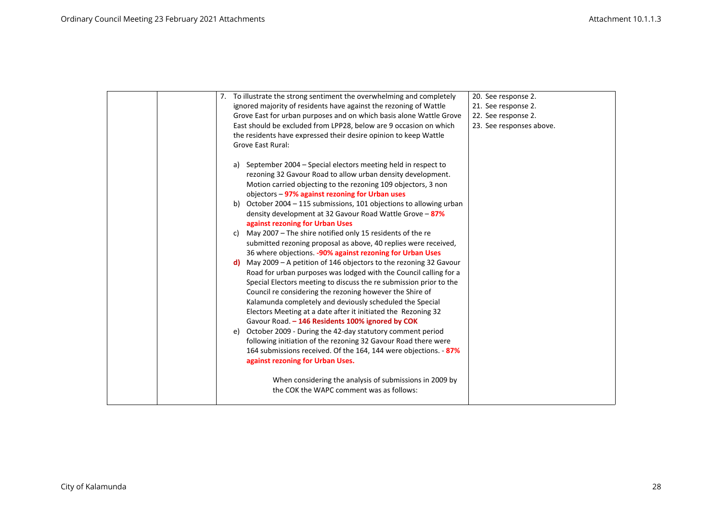|  | 7. To illustrate the strong sentiment the overwhelming and completely  | 20. See response 2.      |
|--|------------------------------------------------------------------------|--------------------------|
|  | ignored majority of residents have against the rezoning of Wattle      | 21. See response 2.      |
|  | Grove East for urban purposes and on which basis alone Wattle Grove    | 22. See response 2.      |
|  | East should be excluded from LPP28, below are 9 occasion on which      | 23. See responses above. |
|  | the residents have expressed their desire opinion to keep Wattle       |                          |
|  | <b>Grove East Rural:</b>                                               |                          |
|  |                                                                        |                          |
|  | a) September 2004 – Special electors meeting held in respect to        |                          |
|  | rezoning 32 Gavour Road to allow urban density development.            |                          |
|  | Motion carried objecting to the rezoning 109 objectors, 3 non          |                          |
|  | objectors - 97% against rezoning for Urban uses                        |                          |
|  | October 2004 - 115 submissions, 101 objections to allowing urban<br>b) |                          |
|  | density development at 32 Gavour Road Wattle Grove - 87%               |                          |
|  | against rezoning for Urban Uses                                        |                          |
|  | May 2007 - The shire notified only 15 residents of the re<br>c)        |                          |
|  | submitted rezoning proposal as above, 40 replies were received,        |                          |
|  | 36 where objections. - 90% against rezoning for Urban Uses             |                          |
|  | May 2009 - A petition of 146 objectors to the rezoning 32 Gavour<br>d) |                          |
|  | Road for urban purposes was lodged with the Council calling for a      |                          |
|  | Special Electors meeting to discuss the re submission prior to the     |                          |
|  | Council re considering the rezoning however the Shire of               |                          |
|  | Kalamunda completely and deviously scheduled the Special               |                          |
|  | Electors Meeting at a date after it initiated the Rezoning 32          |                          |
|  | Gavour Road. - 146 Residents 100% ignored by COK                       |                          |
|  | October 2009 - During the 42-day statutory comment period<br>e)        |                          |
|  | following initiation of the rezoning 32 Gavour Road there were         |                          |
|  | 164 submissions received. Of the 164, 144 were objections. - 87%       |                          |
|  | against rezoning for Urban Uses.                                       |                          |
|  |                                                                        |                          |
|  | When considering the analysis of submissions in 2009 by                |                          |
|  | the COK the WAPC comment was as follows:                               |                          |
|  |                                                                        |                          |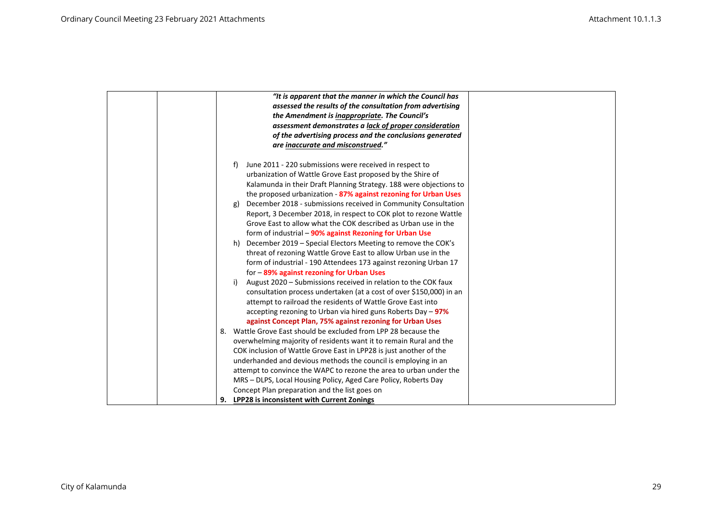| "It is apparent that the manner in which the Council has                                                                                                                                                                                                                                                                                                                                                                                                                                                                                                                                                                                                                                                                                                                                                                                                                                                                                                                                                                                                                                                                                                                                                                                                                                                                                                                                                                                                                                                  |
|-----------------------------------------------------------------------------------------------------------------------------------------------------------------------------------------------------------------------------------------------------------------------------------------------------------------------------------------------------------------------------------------------------------------------------------------------------------------------------------------------------------------------------------------------------------------------------------------------------------------------------------------------------------------------------------------------------------------------------------------------------------------------------------------------------------------------------------------------------------------------------------------------------------------------------------------------------------------------------------------------------------------------------------------------------------------------------------------------------------------------------------------------------------------------------------------------------------------------------------------------------------------------------------------------------------------------------------------------------------------------------------------------------------------------------------------------------------------------------------------------------------|
| assessed the results of the consultation from advertising                                                                                                                                                                                                                                                                                                                                                                                                                                                                                                                                                                                                                                                                                                                                                                                                                                                                                                                                                                                                                                                                                                                                                                                                                                                                                                                                                                                                                                                 |
| the Amendment is inappropriate. The Council's                                                                                                                                                                                                                                                                                                                                                                                                                                                                                                                                                                                                                                                                                                                                                                                                                                                                                                                                                                                                                                                                                                                                                                                                                                                                                                                                                                                                                                                             |
| assessment demonstrates a lack of proper consideration                                                                                                                                                                                                                                                                                                                                                                                                                                                                                                                                                                                                                                                                                                                                                                                                                                                                                                                                                                                                                                                                                                                                                                                                                                                                                                                                                                                                                                                    |
| of the advertising process and the conclusions generated                                                                                                                                                                                                                                                                                                                                                                                                                                                                                                                                                                                                                                                                                                                                                                                                                                                                                                                                                                                                                                                                                                                                                                                                                                                                                                                                                                                                                                                  |
| are inaccurate and misconstrued."                                                                                                                                                                                                                                                                                                                                                                                                                                                                                                                                                                                                                                                                                                                                                                                                                                                                                                                                                                                                                                                                                                                                                                                                                                                                                                                                                                                                                                                                         |
| June 2011 - 220 submissions were received in respect to<br>f)<br>urbanization of Wattle Grove East proposed by the Shire of<br>Kalamunda in their Draft Planning Strategy. 188 were objections to<br>the proposed urbanization - 87% against rezoning for Urban Uses<br>December 2018 - submissions received in Community Consultation<br>g)<br>Report, 3 December 2018, in respect to COK plot to rezone Wattle<br>Grove East to allow what the COK described as Urban use in the<br>form of industrial - 90% against Rezoning for Urban Use<br>December 2019 – Special Electors Meeting to remove the COK's<br>h)<br>threat of rezoning Wattle Grove East to allow Urban use in the<br>form of industrial - 190 Attendees 173 against rezoning Urban 17<br>for -89% against rezoning for Urban Uses<br>August 2020 - Submissions received in relation to the COK faux<br>i)<br>consultation process undertaken (at a cost of over \$150,000) in an<br>attempt to railroad the residents of Wattle Grove East into<br>accepting rezoning to Urban via hired guns Roberts Day $-97\%$<br>against Concept Plan, 75% against rezoning for Urban Uses<br>8. Wattle Grove East should be excluded from LPP 28 because the<br>overwhelming majority of residents want it to remain Rural and the<br>COK inclusion of Wattle Grove East in LPP28 is just another of the<br>underhanded and devious methods the council is employing in an<br>attempt to convince the WAPC to rezone the area to urban under the |
| MRS – DLPS, Local Housing Policy, Aged Care Policy, Roberts Day                                                                                                                                                                                                                                                                                                                                                                                                                                                                                                                                                                                                                                                                                                                                                                                                                                                                                                                                                                                                                                                                                                                                                                                                                                                                                                                                                                                                                                           |
| Concept Plan preparation and the list goes on                                                                                                                                                                                                                                                                                                                                                                                                                                                                                                                                                                                                                                                                                                                                                                                                                                                                                                                                                                                                                                                                                                                                                                                                                                                                                                                                                                                                                                                             |
| 9. LPP28 is inconsistent with Current Zonings                                                                                                                                                                                                                                                                                                                                                                                                                                                                                                                                                                                                                                                                                                                                                                                                                                                                                                                                                                                                                                                                                                                                                                                                                                                                                                                                                                                                                                                             |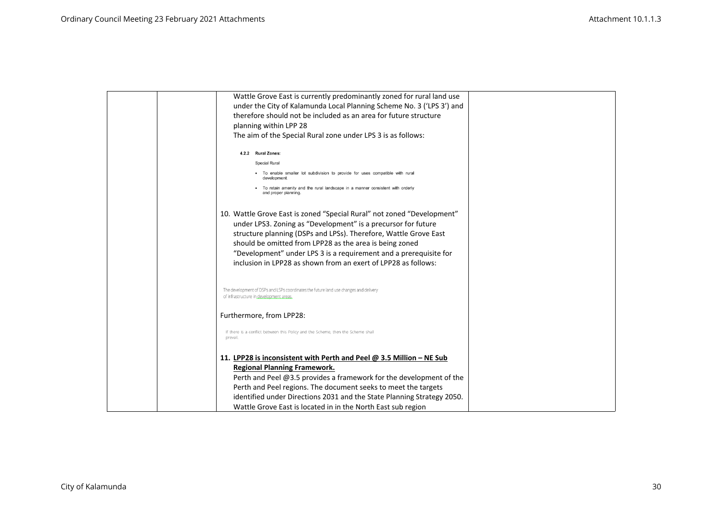| Wattle Grove East is currently predominantly zoned for rural land use                                |  |
|------------------------------------------------------------------------------------------------------|--|
| under the City of Kalamunda Local Planning Scheme No. 3 ('LPS 3') and                                |  |
| therefore should not be included as an area for future structure                                     |  |
| planning within LPP 28                                                                               |  |
| The aim of the Special Rural zone under LPS 3 is as follows:                                         |  |
| 4.2.2 Rural Zones:                                                                                   |  |
| Special Rural                                                                                        |  |
| • To enable smaller lot subdivision to provide for uses compatible with rural                        |  |
| To retain amenity and the rural landscape in a manner consistent with orderly<br>and proper planning |  |
| 10. Wattle Grove East is zoned "Special Rural" not zoned "Development"                               |  |
| under LPS3. Zoning as "Development" is a precursor for future                                        |  |
| structure planning (DSPs and LPSs). Therefore, Wattle Grove East                                     |  |
| should be omitted from LPP28 as the area is being zoned                                              |  |
| "Development" under LPS 3 is a requirement and a prerequisite for                                    |  |
| inclusion in LPP28 as shown from an exert of LPP28 as follows:                                       |  |
| The development of DSPs and LSPs coordinates the future land use changes and delivery                |  |
| of infrastructure in development areas                                                               |  |
| Furthermore, from LPP28:                                                                             |  |
| If there is a conflict between this Policy and the Scheme, then the Scheme shall<br>prevail.         |  |
| 11. LPP28 is inconsistent with Perth and Peel $\omega$ 3.5 Million – NE Sub                          |  |
| <b>Regional Planning Framework.</b>                                                                  |  |
| Perth and Peel @3.5 provides a framework for the development of the                                  |  |
| Perth and Peel regions. The document seeks to meet the targets                                       |  |
| identified under Directions 2031 and the State Planning Strategy 2050.                               |  |
| Wattle Grove East is located in in the North East sub region                                         |  |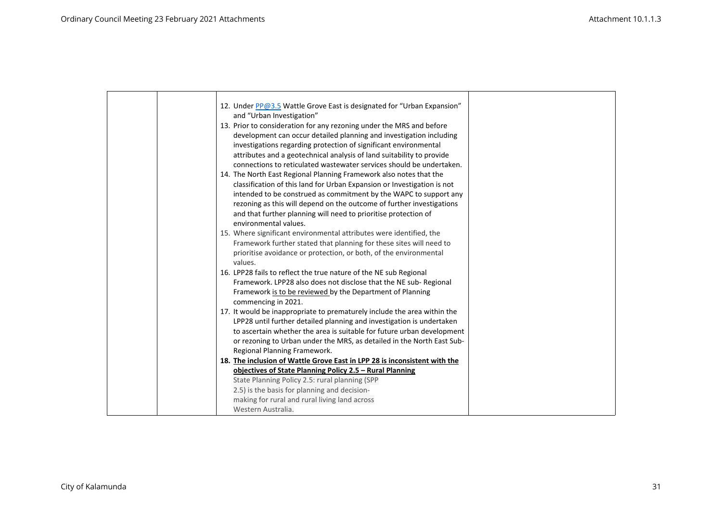|  | 12. Under PP@3.5 Wattle Grove East is designated for "Urban Expansion"                                                                   |  |
|--|------------------------------------------------------------------------------------------------------------------------------------------|--|
|  | and "Urban Investigation"                                                                                                                |  |
|  | 13. Prior to consideration for any rezoning under the MRS and before                                                                     |  |
|  | development can occur detailed planning and investigation including                                                                      |  |
|  | investigations regarding protection of significant environmental                                                                         |  |
|  | attributes and a geotechnical analysis of land suitability to provide                                                                    |  |
|  | connections to reticulated wastewater services should be undertaken.                                                                     |  |
|  | 14. The North East Regional Planning Framework also notes that the                                                                       |  |
|  | classification of this land for Urban Expansion or Investigation is not                                                                  |  |
|  | intended to be construed as commitment by the WAPC to support any                                                                        |  |
|  | rezoning as this will depend on the outcome of further investigations                                                                    |  |
|  | and that further planning will need to prioritise protection of                                                                          |  |
|  | environmental values.                                                                                                                    |  |
|  | 15. Where significant environmental attributes were identified, the                                                                      |  |
|  | Framework further stated that planning for these sites will need to<br>prioritise avoidance or protection, or both, of the environmental |  |
|  | values.                                                                                                                                  |  |
|  | 16. LPP28 fails to reflect the true nature of the NE sub Regional                                                                        |  |
|  | Framework. LPP28 also does not disclose that the NE sub-Regional                                                                         |  |
|  | Framework is to be reviewed by the Department of Planning                                                                                |  |
|  | commencing in 2021.                                                                                                                      |  |
|  | 17. It would be inappropriate to prematurely include the area within the                                                                 |  |
|  | LPP28 until further detailed planning and investigation is undertaken                                                                    |  |
|  | to ascertain whether the area is suitable for future urban development                                                                   |  |
|  | or rezoning to Urban under the MRS, as detailed in the North East Sub-                                                                   |  |
|  | Regional Planning Framework.                                                                                                             |  |
|  | 18. The inclusion of Wattle Grove East in LPP 28 is inconsistent with the                                                                |  |
|  | objectives of State Planning Policy 2.5 - Rural Planning                                                                                 |  |
|  | State Planning Policy 2.5: rural planning (SPP                                                                                           |  |
|  | 2.5) is the basis for planning and decision-                                                                                             |  |
|  | making for rural and rural living land across                                                                                            |  |
|  | Western Australia.                                                                                                                       |  |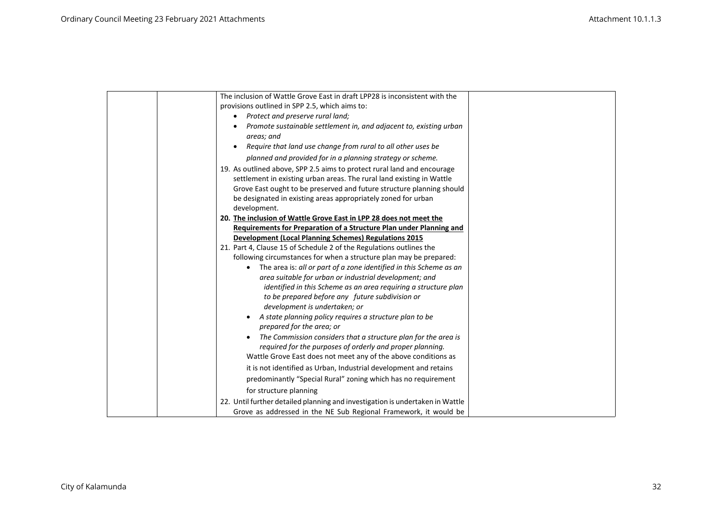| The inclusion of Wattle Grove East in draft LPP28 is inconsistent with the    |
|-------------------------------------------------------------------------------|
| provisions outlined in SPP 2.5, which aims to:                                |
| Protect and preserve rural land;                                              |
| Promote sustainable settlement in, and adjacent to, existing urban            |
| areas; and                                                                    |
| Require that land use change from rural to all other uses be                  |
| planned and provided for in a planning strategy or scheme.                    |
| 19. As outlined above, SPP 2.5 aims to protect rural land and encourage       |
| settlement in existing urban areas. The rural land existing in Wattle         |
| Grove East ought to be preserved and future structure planning should         |
| be designated in existing areas appropriately zoned for urban                 |
| development.                                                                  |
| 20. The inclusion of Wattle Grove East in LPP 28 does not meet the            |
| Requirements for Preparation of a Structure Plan under Planning and           |
| <b>Development (Local Planning Schemes) Regulations 2015</b>                  |
| 21. Part 4, Clause 15 of Schedule 2 of the Regulations outlines the           |
| following circumstances for when a structure plan may be prepared:            |
| The area is: all or part of a zone identified in this Scheme as an            |
| area suitable for urban or industrial development; and                        |
| identified in this Scheme as an area requiring a structure plan               |
| to be prepared before any future subdivision or                               |
| development is undertaken; or                                                 |
| A state planning policy requires a structure plan to be                       |
| prepared for the area; or                                                     |
| The Commission considers that a structure plan for the area is                |
| required for the purposes of orderly and proper planning.                     |
| Wattle Grove East does not meet any of the above conditions as                |
| it is not identified as Urban, Industrial development and retains             |
| predominantly "Special Rural" zoning which has no requirement                 |
| for structure planning                                                        |
| 22. Until further detailed planning and investigation is undertaken in Wattle |
| Grove as addressed in the NE Sub Regional Framework, it would be              |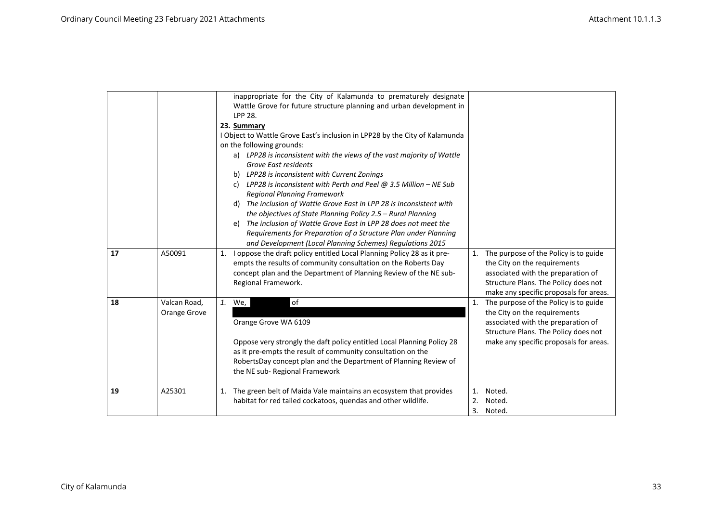|    |                              | inappropriate for the City of Kalamunda to prematurely designate<br>Wattle Grove for future structure planning and urban development in<br><b>LPP 28.</b><br>23. Summary<br>I Object to Wattle Grove East's inclusion in LPP28 by the City of Kalamunda<br>on the following grounds:<br>a) LPP28 is inconsistent with the views of the vast majority of Wattle<br>Grove East residents<br>b) LPP28 is inconsistent with Current Zonings<br>c) LPP28 is inconsistent with Perth and Peel $@3.5$ Million - NE Sub<br><b>Regional Planning Framework</b><br>The inclusion of Wattle Grove East in LPP 28 is inconsistent with<br>d)<br>the objectives of State Planning Policy 2.5 - Rural Planning<br>The inclusion of Wattle Grove East in LPP 28 does not meet the<br>e)<br>Requirements for Preparation of a Structure Plan under Planning<br>and Development (Local Planning Schemes) Regulations 2015 |                |                                                                                                                                                                                                  |
|----|------------------------------|----------------------------------------------------------------------------------------------------------------------------------------------------------------------------------------------------------------------------------------------------------------------------------------------------------------------------------------------------------------------------------------------------------------------------------------------------------------------------------------------------------------------------------------------------------------------------------------------------------------------------------------------------------------------------------------------------------------------------------------------------------------------------------------------------------------------------------------------------------------------------------------------------------|----------------|--------------------------------------------------------------------------------------------------------------------------------------------------------------------------------------------------|
| 17 | A50091                       | I oppose the draft policy entitled Local Planning Policy 28 as it pre-<br>1.<br>empts the results of community consultation on the Roberts Day<br>concept plan and the Department of Planning Review of the NE sub-<br>Regional Framework.                                                                                                                                                                                                                                                                                                                                                                                                                                                                                                                                                                                                                                                               |                | 1. The purpose of the Policy is to guide<br>the City on the requirements<br>associated with the preparation of<br>Structure Plans. The Policy does not<br>make any specific proposals for areas. |
| 18 | Valcan Road,<br>Orange Grove | of<br>1. We,<br>Orange Grove WA 6109<br>Oppose very strongly the daft policy entitled Local Planning Policy 28<br>as it pre-empts the result of community consultation on the<br>RobertsDay concept plan and the Department of Planning Review of<br>the NE sub-Regional Framework                                                                                                                                                                                                                                                                                                                                                                                                                                                                                                                                                                                                                       |                | 1. The purpose of the Policy is to guide<br>the City on the requirements<br>associated with the preparation of<br>Structure Plans. The Policy does not<br>make any specific proposals for areas. |
| 19 | A25301                       | The green belt of Maida Vale maintains an ecosystem that provides<br>1.<br>habitat for red tailed cockatoos, quendas and other wildlife.                                                                                                                                                                                                                                                                                                                                                                                                                                                                                                                                                                                                                                                                                                                                                                 | 1.<br>2.<br>3. | Noted.<br>Noted.<br>Noted.                                                                                                                                                                       |